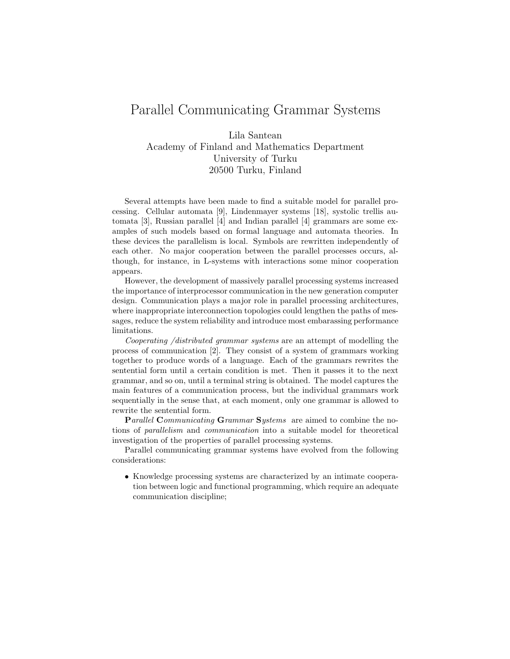## Parallel Communicating Grammar Systems

Lila Santean Academy of Finland and Mathematics Department University of Turku 20500 Turku, Finland

Several attempts have been made to find a suitable model for parallel processing. Cellular automata [9], Lindenmayer systems [18], systolic trellis automata [3], Russian parallel [4] and Indian parallel [4] grammars are some examples of such models based on formal language and automata theories. In these devices the parallelism is local. Symbols are rewritten independently of each other. No major cooperation between the parallel processes occurs, although, for instance, in L-systems with interactions some minor cooperation appears.

However, the development of massively parallel processing systems increased the importance of interprocessor communication in the new generation computer design. Communication plays a major role in parallel processing architectures, where inappropriate interconnection topologies could lengthen the paths of messages, reduce the system reliability and introduce most embarassing performance limitations.

Cooperating /distributed grammar systems are an attempt of modelling the process of communication [2]. They consist of a system of grammars working together to produce words of a language. Each of the grammars rewrites the sentential form until a certain condition is met. Then it passes it to the next grammar, and so on, until a terminal string is obtained. The model captures the main features of a communication process, but the individual grammars work sequentially in the sense that, at each moment, only one grammar is allowed to rewrite the sentential form.

Parallel Communicating Grammar Systems are aimed to combine the notions of parallelism and communication into a suitable model for theoretical investigation of the properties of parallel processing systems.

Parallel communicating grammar systems have evolved from the following considerations:

• Knowledge processing systems are characterized by an intimate cooperation between logic and functional programming, which require an adequate communication discipline;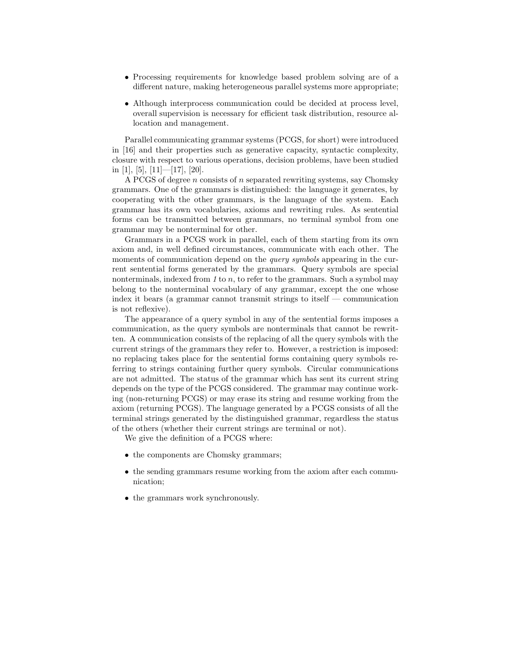- Processing requirements for knowledge based problem solving are of a different nature, making heterogeneous parallel systems more appropriate;
- Although interprocess communication could be decided at process level, overall supervision is necessary for efficient task distribution, resource allocation and management.

Parallel communicating grammar systems (PCGS, for short) were introduced in [16] and their properties such as generative capacity, syntactic complexity, closure with respect to various operations, decision problems, have been studied in [1], [5], [11]—[17], [20].

A PCGS of degree n consists of n separated rewriting systems, say Chomsky grammars. One of the grammars is distinguished: the language it generates, by cooperating with the other grammars, is the language of the system. Each grammar has its own vocabularies, axioms and rewriting rules. As sentential forms can be transmitted between grammars, no terminal symbol from one grammar may be nonterminal for other.

Grammars in a PCGS work in parallel, each of them starting from its own axiom and, in well defined circumstances, communicate with each other. The moments of communication depend on the *query symbols* appearing in the current sentential forms generated by the grammars. Query symbols are special nonterminals, indexed from 1 to n, to refer to the grammars. Such a symbol may belong to the nonterminal vocabulary of any grammar, except the one whose index it bears (a grammar cannot transmit strings to itself — communication is not reflexive).

The appearance of a query symbol in any of the sentential forms imposes a communication, as the query symbols are nonterminals that cannot be rewritten. A communication consists of the replacing of all the query symbols with the current strings of the grammars they refer to. However, a restriction is imposed: no replacing takes place for the sentential forms containing query symbols referring to strings containing further query symbols. Circular communications are not admitted. The status of the grammar which has sent its current string depends on the type of the PCGS considered. The grammar may continue working (non-returning PCGS) or may erase its string and resume working from the axiom (returning PCGS). The language generated by a PCGS consists of all the terminal strings generated by the distinguished grammar, regardless the status of the others (whether their current strings are terminal or not).

We give the definition of a PCGS where:

- the components are Chomsky grammars;
- the sending grammars resume working from the axiom after each communication;
- the grammars work synchronously.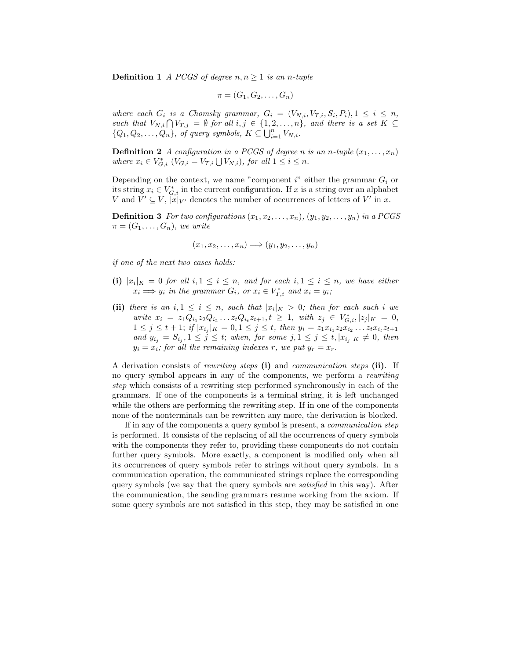**Definition 1** A PCGS of degree  $n, n \geq 1$  is an n-tuple

$$
\pi = (G_1, G_2, \ldots, G_n)
$$

where each  $G_i$  is a Chomsky grammar,  $G_i = (V_{N,i}, V_{T,i}, S_i, P_i), 1 \leq i \leq n$ , such that  $V_{N,i} \bigcap V_{T,j} = \emptyset$  for all  $i, j \in \{1, 2, ..., n\}$ , and there is a set  $K \subseteq$  $\{Q_1, Q_2, \ldots, Q_n\}, \text{ of query symbols, } K \subseteq \bigcup_{i=1}^n V_{N,i}.$ 

**Definition 2** A configuration in a PCGS of degree n is an n-tuple  $(x_1, \ldots, x_n)$ where  $x_i \in V_{G,i}^*$   $(V_{G,i} = V_{T,i} \bigcup V_{N,i})$ , for all  $1 \leq i \leq n$ .

Depending on the context, we name "component  $i$ " either the grammar  $G_i$  or its string  $x_i \in V_{G,i}^*$  in the current configuration. If x is a string over an alphabet V and  $V' \subseteq V$ ,  $|x|_{V'}$  denotes the number of occurrences of letters of V' in x.

**Definition 3** For two configurations  $(x_1, x_2, \ldots, x_n)$ ,  $(y_1, y_2, \ldots, y_n)$  in a PCGS  $\pi=(G_1,\ldots,G_n),$  we write

$$
(x_1, x_2, \ldots, x_n) \Longrightarrow (y_1, y_2, \ldots, y_n)
$$

if one of the next two cases holds:

- (i)  $|x_i|_K = 0$  for all  $i, 1 \leq i \leq n$ , and for each  $i, 1 \leq i \leq n$ , we have either  $x_i \Longrightarrow y_i$  in the grammar  $G_i$ , or  $x_i \in V_{T,i}^*$  and  $x_i = y_i$ ;
- (ii) there is an  $i, 1 \leq i \leq n$ , such that  $|x_i|_K > 0$ ; then for each such i we write  $x_i = z_1 Q_{i_1} z_2 Q_{i_2} \dots z_t Q_{i_t} z_{t+1}, t \geq 1$ , with  $z_j \in V_{G,i}^*, |z_j|_K = 0$ ,  $1 \leq j \leq t+1$ ; if  $|x_{i_j}|_K = 0, 1 \leq j \leq t$ , then  $y_i = z_1 x_{i_1} z_2 x_{i_2} \dots z_t x_{i_t} z_{t+1}$ and  $y_{i_j} = S_{i_j}, 1 \leq j \leq t$ ; when, for some  $j, 1 \leq j \leq t, |x_{i_j}|_K \neq 0$ , then  $y_i = x_i$ ; for all the remaining indexes r, we put  $y_r = x_r$ .

A derivation consists of rewriting steps (i) and communication steps (ii). If no query symbol appears in any of the components, we perform a rewriting step which consists of a rewriting step performed synchronously in each of the grammars. If one of the components is a terminal string, it is left unchanged while the others are performing the rewriting step. If in one of the components none of the nonterminals can be rewritten any more, the derivation is blocked.

If in any of the components a query symbol is present, a communication step is performed. It consists of the replacing of all the occurrences of query symbols with the components they refer to, providing these components do not contain further query symbols. More exactly, a component is modified only when all its occurrences of query symbols refer to strings without query symbols. In a communication operation, the communicated strings replace the corresponding query symbols (we say that the query symbols are satisfied in this way). After the communication, the sending grammars resume working from the axiom. If some query symbols are not satisfied in this step, they may be satisfied in one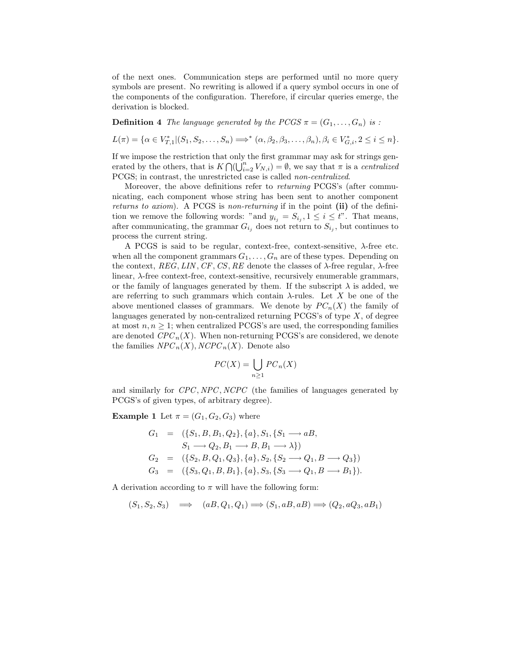of the next ones. Communication steps are performed until no more query symbols are present. No rewriting is allowed if a query symbol occurs in one of the components of the configuration. Therefore, if circular queries emerge, the derivation is blocked.

**Definition 4** The language generated by the PCGS  $\pi = (G_1, \ldots, G_n)$  is :

 $L(\pi) = \{ \alpha \in V^*_{T,1} | (S_1, S_2, \ldots, S_n) \Longrightarrow^* (\alpha, \beta_2, \beta_3, \ldots, \beta_n), \beta_i \in V^*_{G,i}, 2 \leq i \leq n \}.$ 

If we impose the restriction that only the first grammar may ask for strings generated by the others, that is  $K \bigcap \bigcup_{i=2}^{n} V_{N,i} \big) = \emptyset$ , we say that  $\pi$  is a *centralized* PCGS; in contrast, the unrestricted case is called non-centralized.

Moreover, the above definitions refer to returning PCGS's (after communicating, each component whose string has been sent to another component returns to axiom). A PCGS is non-returning if in the point (ii) of the definition we remove the following words: "and  $y_{i_j} = S_{i_j}$ ,  $1 \leq i \leq t$ ". That means, after communicating, the grammar  $G_{i_j}$  does not return to  $S_{i_j}$ , but continues to process the current string.

A PCGS is said to be regular, context-free, context-sensitive, λ-free etc. when all the component grammars  $G_1, \ldots, G_n$  are of these types. Depending on the context,  $REG, LIN, CF, CS, RE$  denote the classes of  $\lambda$ -free regular,  $\lambda$ -free linear, λ-free context-free, context-sensitive, recursively enumerable grammars, or the family of languages generated by them. If the subscript  $\lambda$  is added, we are referring to such grammars which contain  $\lambda$ -rules. Let X be one of the above mentioned classes of grammars. We denote by  $PC_n(X)$  the family of languages generated by non-centralized returning PCGS's of type  $X$ , of degree at most  $n, n \geq 1$ ; when centralized PCGS's are used, the corresponding families are denoted  $CPC_n(X)$ . When non-returning PCGS's are considered, we denote the families  $NPC_n(X)$ ,  $NCPC_n(X)$ . Denote also

$$
PC(X) = \bigcup_{n \ge 1} PC_n(X)
$$

and similarly for CPC, NPC, NCPC (the families of languages generated by PCGS's of given types, of arbitrary degree).

**Example 1** Let  $\pi = (G_1, G_2, G_3)$  where

$$
G_1 = (\{S_1, B, B_1, Q_2\}, \{a\}, S_1, \{S_1 \longrightarrow aB, S_1 \longrightarrow C_2, B_1 \longrightarrow B, B_1 \longrightarrow \lambda\})
$$
  
\n
$$
G_2 = (\{S_2, B, Q_1, Q_3\}, \{a\}, S_2, \{S_2 \longrightarrow Q_1, B \longrightarrow Q_3\})
$$
  
\n
$$
G_3 = (\{S_3, Q_1, B, B_1\}, \{a\}, S_3, \{S_3 \longrightarrow Q_1, B \longrightarrow B_1\}).
$$

A derivation according to  $\pi$  will have the following form:

$$
(S_1, S_2, S_3) \quad \Longrightarrow \quad (aB, Q_1, Q_1) \Longrightarrow (S_1, aB, aB) \Longrightarrow (Q_2, aQ_3, aB_1)
$$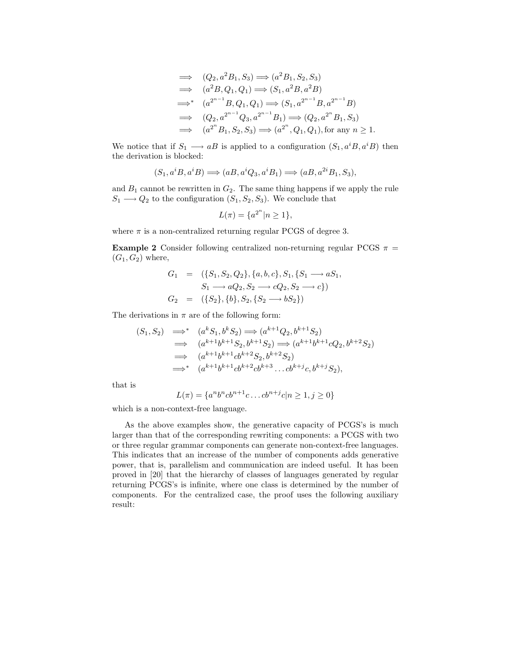$$
\Rightarrow (Q_2, a^2 B_1, S_3) \Rightarrow (a^2 B_1, S_2, S_3)
$$
  
\n
$$
\Rightarrow (a^2 B, Q_1, Q_1) \Rightarrow (S_1, a^2 B, a^2 B)
$$
  
\n
$$
\Rightarrow^* (a^{2^{n-1}} B, Q_1, Q_1) \Rightarrow (S_1, a^{2^{n-1}} B, a^{2^{n-1}} B)
$$
  
\n
$$
\Rightarrow (Q_2, a^{2^{n-1}} Q_3, a^{2^{n-1}} B_1) \Rightarrow (Q_2, a^{2^n} B_1, S_3)
$$
  
\n
$$
\Rightarrow (a^{2^n} B_1, S_2, S_3) \Rightarrow (a^{2^n}, Q_1, Q_1), \text{ for any } n \ge 1.
$$

We notice that if  $S_1 \longrightarrow aB$  is applied to a configuration  $(S_1, a^iB, a^iB)$  then the derivation is blocked:

$$
(S_1, a^i B, a^i B) \Longrightarrow (aB, a^i Q_3, a^i B_1) \Longrightarrow (aB, a^{2i} B_1, S_3),
$$

and  $B_1$  cannot be rewritten in  $G_2$ . The same thing happens if we apply the rule  $S_1 \longrightarrow Q_2$  to the configuration  $(S_1, S_2, S_3)$ . We conclude that

$$
L(\pi) = \{a^{2^n} | n \ge 1\},\
$$

where  $\pi$  is a non-centralized returning regular PCGS of degree 3.

**Example 2** Consider following centralized non-returning regular PCGS  $\pi$  =  $(G_1, G_2)$  where,

$$
G_1 = (\{S_1, S_2, Q_2\}, \{a, b, c\}, S_1, \{S_1 \longrightarrow aS_1, S_1 \longrightarrow aQ_2, S_2 \longrightarrow cQ_2, S_2 \longrightarrow c\})
$$
  
\n
$$
G_2 = (\{S_2\}, \{b\}, S_2, \{S_2 \longrightarrow bS_2\})
$$

The derivations in  $\pi$  are of the following form:

$$
(S_1, S_2) \implies (a^k S_1, b^k S_2) \implies (a^{k+1} Q_2, b^{k+1} S_2)
$$
  
\n
$$
\implies (a^{k+1} b^{k+1} S_2, b^{k+1} S_2) \implies (a^{k+1} b^{k+1} c Q_2, b^{k+2} S_2)
$$
  
\n
$$
\implies (a^{k+1} b^{k+1} c b^{k+2} S_2, b^{k+2} S_2)
$$
  
\n
$$
\implies (a^{k+1} b^{k+1} c b^{k+2} c b^{k+3} \dots c b^{k+j} c, b^{k+j} S_2),
$$

that is

$$
L(\pi) = \{a^n b^n cb^{n+1}c \dots cb^{n+j}c|n \ge 1, j \ge 0\}
$$

which is a non-context-free language.

As the above examples show, the generative capacity of PCGS's is much larger than that of the corresponding rewriting components: a PCGS with two or three regular grammar components can generate non-context-free languages. This indicates that an increase of the number of components adds generative power, that is, parallelism and communication are indeed useful. It has been proved in [20] that the hierarchy of classes of languages generated by regular returning PCGS's is infinite, where one class is determined by the number of components. For the centralized case, the proof uses the following auxiliary result: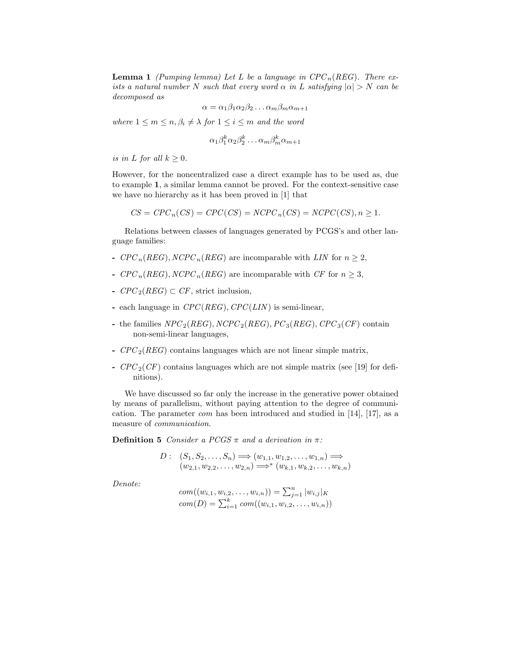**Lemma 1** (Pumping lemma) Let L be a language in  $CPC_n(REG)$ . There exists a natural number N such that every word  $\alpha$  in L satisfying  $|\alpha| > N$  can be decomposed as

$$
\alpha = \alpha_1 \beta_1 \alpha_2 \beta_2 \dots \alpha_m \beta_m \alpha_{m+1}
$$

where  $1 \leq m \leq n, \beta_i \neq \lambda$  for  $1 \leq i \leq m$  and the word

$$
\alpha_1 \beta_1^k \alpha_2 \beta_2^k \dots \alpha_m \beta_m^k \alpha_{m+1}
$$

is in L for all  $k \geq 0$ .

However, for the noncentralized case a direct example has to be used as, due to example 1, a similar lemma cannot be proved. For the context-sensitive case we have no hierarchy as it has been proved in [1] that

$$
CS = CPC_n(CS) = CPC(CS) = NCPC_n(CS) = NCPC(CS), n \ge 1.
$$

Relations between classes of languages generated by PCGS's and other language families:

- $CPC_n(REG), NCPC_n(REG)$  are incomparable with LIN for  $n \geq 2$ ,
- $CPC_n(REG), NCPC_n(REG)$  are incomparable with CF for  $n \geq 3$ ,
- $CPC_2(REG) \subset CF$ , strict inclusion,
- each language in  $CPC(REG)$ ,  $CPC(LIN)$  is semi-linear,
- the families  $NPC_2(REG)$ ,  $NCPC_2(REG)$ ,  $PC_3(REG)$ ,  $CPC_3(CF)$  contain non-semi-linear languages,
- $CPC<sub>2</sub>(REG)$  contains languages which are not linear simple matrix,
- $CPC_2(CF)$  contains languages which are not simple matrix (see [19] for definitions).

We have discussed so far only the increase in the generative power obtained by means of parallelism, without paying attention to the degree of communication. The parameter com has been introduced and studied in [14], [17], as a measure of communication.

**Definition 5** Consider a PCGS  $\pi$  and a derivation in  $\pi$ :

$$
D: (S_1, S_2, \ldots, S_n) \Longrightarrow (w_{1,1}, w_{1,2}, \ldots, w_{1,n}) \Longrightarrow (w_{2,1}, w_{2,2}, \ldots, w_{2,n}) \Longrightarrow^* (w_{k,1}, w_{k,2}, \ldots, w_{k,n})
$$

Denote:

com
$$
((w_{i,1}, w_{i,2}, \ldots, w_{i,n})) = \sum_{j=1}^{n} |w_{i,j}|_K
$$
  
com $(D) = \sum_{i=1}^{k} com((w_{i,1}, w_{i,2}, \ldots, w_{i,n}))$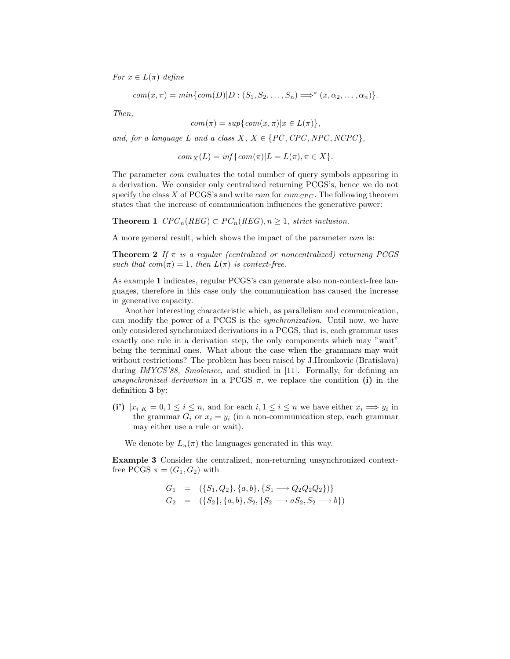For  $x \in L(\pi)$  define

$$
com(x, \pi) = min \{ com(D) | D : (S_1, S_2, \dots, S_n) \Longrightarrow^* (x, \alpha_2, \dots, \alpha_n) \}.
$$

Then,

$$
com(\pi) = sup\{com(x, \pi)|x \in L(\pi)\},\
$$

and, for a language L and a class  $X, X \in \{PC, CPC, NPC, NCC\}$ ,

$$
com_X(L) = inf\{com(\pi)|L = L(\pi), \pi \in X\}.
$$

The parameter com evaluates the total number of query symbols appearing in a derivation. We consider only centralized returning PCGS's, hence we do not specify the class X of PCGS's and write *com* for  $com_{CPC}$ . The following theorem states that the increase of communication influences the generative power:

**Theorem 1**  $CPC_n(REG) \subset PC_n(REG), n \geq 1$ , strict inclusion.

A more general result, which shows the impact of the parameter com is:

**Theorem 2** If  $\pi$  is a regular (centralized or noncentralized) returning PCGS such that  $com(\pi) = 1$ , then  $L(\pi)$  is context-free.

As example 1 indicates, regular PCGS's can generate also non-context-free languages, therefore in this case only the communication has caused the increase in generative capacity.

Another interesting characteristic which, as parallelism and communication, can modify the power of a PCGS is the synchronization. Until now, we have only considered synchronized derivations in a PCGS, that is, each grammar uses exactly one rule in a derivation step, the only components which may "wait" being the terminal ones. What about the case when the grammars may wait without restrictions? The problem has been raised by J.Hromkovic (Bratislava) during IMYCS'88, Smolenice, and studied in [11]. Formally, for defining an unsynchronized derivation in a PCGS  $\pi$ , we replace the condition (i) in the definition 3 by:

(i)  $|x_i|_K = 0, 1 \le i \le n$ , and for each  $i, 1 \le i \le n$  we have either  $x_i \Longrightarrow y_i$  in the grammar  $G_i$  or  $x_i = y_i$  (in a non-communication step, each grammar may either use a rule or wait).

We denote by  $L_u(\pi)$  the languages generated in this way.

Example 3 Consider the centralized, non-returning unsynchronized contextfree PCGS  $\pi = (G_1, G_2)$  with

$$
G_1 = (\{S_1, Q_2\}, \{a, b\}, \{S_1 \longrightarrow Q_2 Q_2 Q_2\})
$$
  
\n
$$
G_2 = (\{S_2\}, \{a, b\}, S_2, \{S_2 \longrightarrow aS_2, S_2 \longrightarrow b\})
$$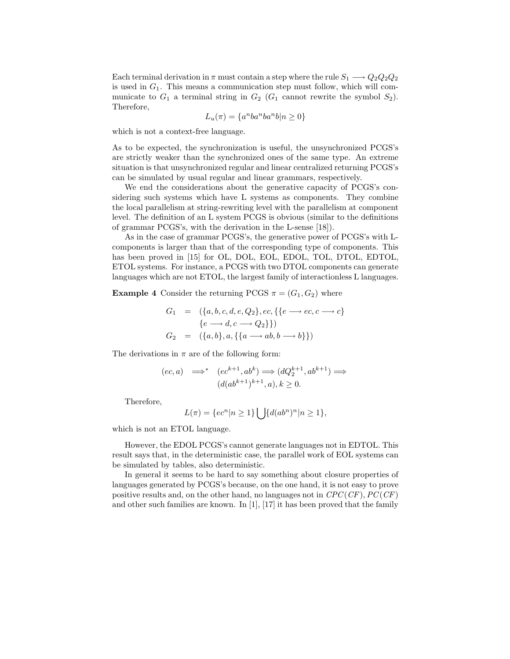Each terminal derivation in  $\pi$  must contain a step where the rule  $S_1 \longrightarrow Q_2 Q_2 Q_2$ is used in  $G_1$ . This means a communication step must follow, which will communicate to  $G_1$  a terminal string in  $G_2$  ( $G_1$  cannot rewrite the symbol  $S_2$ ). Therefore,

$$
L_u(\pi) = \{a^nba^nba^n b|n \ge 0\}
$$

which is not a context-free language.

As to be expected, the synchronization is useful, the unsynchronized PCGS's are strictly weaker than the synchronized ones of the same type. An extreme situation is that unsynchronized regular and linear centralized returning PCGS's can be simulated by usual regular and linear grammars, respectively.

We end the considerations about the generative capacity of PCGS's considering such systems which have L systems as components. They combine the local parallelism at string-rewriting level with the parallelism at component level. The definition of an L system PCGS is obvious (similar to the definitions of grammar PCGS's, with the derivation in the L-sense [18]).

As in the case of grammar PCGS's, the generative power of PCGS's with Lcomponents is larger than that of the corresponding type of components. This has been proved in [15] for OL, DOL, EOL, EDOL, TOL, DTOL, EDTOL, ETOL systems. For instance, a PCGS with two DTOL components can generate languages which are not ETOL, the largest family of interactionless L languages.

**Example 4** Consider the returning PCGS  $\pi = (G_1, G_2)$  where

$$
G_1 = (\{a, b, c, d, e, Q_2\}, ec, \{\{e \longrightarrow ec, c \longrightarrow c\}
$$
  

$$
\{e \longrightarrow d, c \longrightarrow Q_2\}\})
$$
  

$$
G_2 = (\{a, b\}, a, \{\{a \longrightarrow ab, b \longrightarrow b\}\})
$$

The derivations in  $\pi$  are of the following form:

$$
(ec, a) \implies (ec^{k+1}, ab^k) \implies (dQ_2^{k+1}, ab^{k+1}) \implies
$$

$$
(d(ab^{k+1})^{k+1}, a), k \ge 0.
$$

Therefore,

$$
L(\pi) = \{ec^n | n \ge 1\} \bigcup \{d(ab^n)^n | n \ge 1\},\
$$

which is not an ETOL language.

However, the EDOL PCGS's cannot generate languages not in EDTOL. This result says that, in the deterministic case, the parallel work of EOL systems can be simulated by tables, also deterministic.

In general it seems to be hard to say something about closure properties of languages generated by PCGS's because, on the one hand, it is not easy to prove positive results and, on the other hand, no languages not in  $CPC(CF)$ ,  $PC(CF)$ and other such families are known. In [1], [17] it has been proved that the family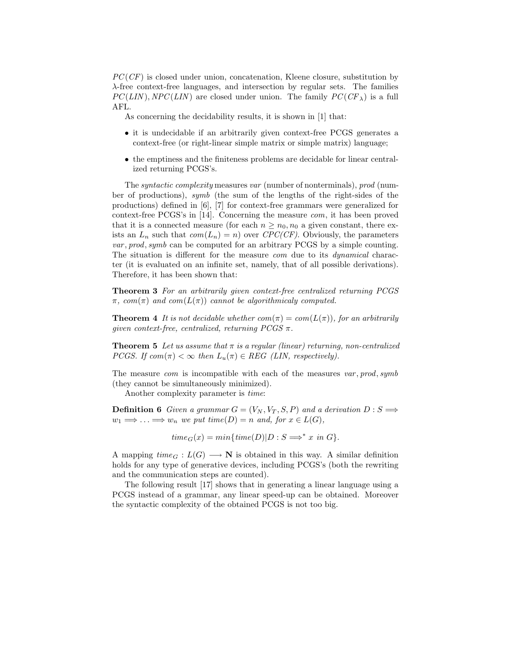$PC(CF)$  is closed under union, concatenation, Kleene closure, substitution by λ-free context-free languages, and intersection by regular sets. The families  $PC(LIN)$ ,  $NPC(LIN)$  are closed under union. The family  $PC(CF<sub>\lambda</sub>)$  is a full AFL.

As concerning the decidability results, it is shown in [1] that:

- it is undecidable if an arbitrarily given context-free PCGS generates a context-free (or right-linear simple matrix or simple matrix) language;
- the emptiness and the finiteness problems are decidable for linear centralized returning PCGS's.

The syntactic complexity measures var (number of nonterminals), prod (number of productions), symb (the sum of the lengths of the right-sides of the productions) defined in [6], [7] for context-free grammars were generalized for context-free PCGS's in [14]. Concerning the measure com, it has been proved that it is a connected measure (for each  $n \geq n_0, n_0$  a given constant, there exists an  $L_n$  such that  $com(L_n) = n$ ) over CPC(CF). Obviously, the parameters var , prod, symb can be computed for an arbitrary PCGS by a simple counting. The situation is different for the measure *com* due to its *dynamical* character (it is evaluated on an infinite set, namely, that of all possible derivations). Therefore, it has been shown that:

Theorem 3 For an arbitrarily given context-free centralized returning PCGS  $\pi$ , com( $\pi$ ) and com( $L(\pi)$ ) cannot be algorithmicaly computed.

**Theorem 4** It is not decidable whether  $com(\pi) = com(L(\pi))$ , for an arbitrarily given context-free, centralized, returning  $PCGS \pi$ .

**Theorem 5** Let us assume that  $\pi$  is a regular (linear) returning, non-centralized PCGS. If  $com(\pi) < \infty$  then  $L_u(\pi) \in REG$  (LIN, respectively).

The measure *com* is incompatible with each of the measures  $var, prod, symbol$ (they cannot be simultaneously minimized).

Another complexity parameter is time:

**Definition 6** Given a grammar  $G = (V_N, V_T, S, P)$  and a derivation  $D : S \implies$  $w_1 \Longrightarrow \ldots \Longrightarrow w_n$  we put time(D) = n and, for  $x \in L(G)$ ,

 $time_G(x) = min{time(D)|D: S \implies x \text{ in } G}.$ 

A mapping  $time_G : L(G) \longrightarrow \mathbb{N}$  is obtained in this way. A similar definition holds for any type of generative devices, including PCGS's (both the rewriting and the communication steps are counted).

The following result [17] shows that in generating a linear language using a PCGS instead of a grammar, any linear speed-up can be obtained. Moreover the syntactic complexity of the obtained PCGS is not too big.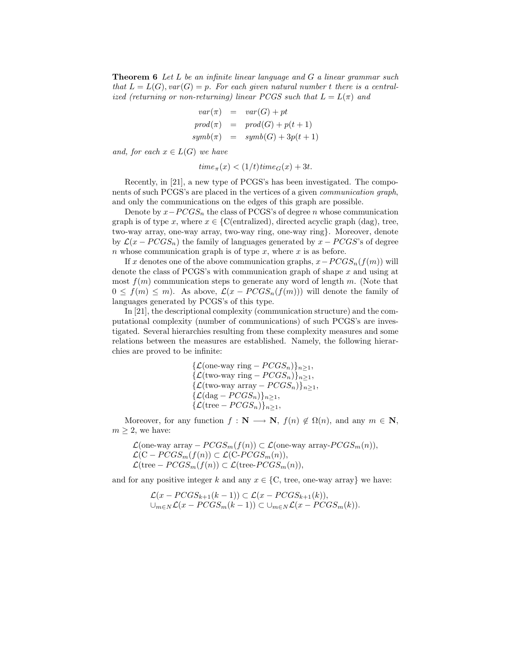**Theorem 6** Let  $L$  be an infinite linear language and  $G$  a linear grammar such that  $L = L(G)$ ,  $var(G) = p$ . For each given natural number t there is a centralized (returning or non-returning) linear PCGS such that  $L = L(\pi)$  and

$$
var(\pi) = var(G) + pt
$$
  
\n
$$
prod(\pi) = prod(G) + p(t+1)
$$
  
\n
$$
symb(\pi) = symbol(G) + 3p(t+1)
$$

and, for each  $x \in L(G)$  we have

 $time_\pi(x) < (1/t)time_G(x) + 3t.$ 

Recently, in [21], a new type of PCGS's has been investigated. The components of such PCGS's are placed in the vertices of a given communication graph, and only the communications on the edges of this graph are possible.

Denote by  $x-PCGS_n$  the class of PCGS's of degree n whose communication graph is of type x, where  $x \in \{C(\text{entralized})\}$ , directed acyclic graph (dag), tree, two-way array, one-way array, two-way ring, one-way ring}. Moreover, denote by  $\mathcal{L}(x - PCGS_n)$  the family of languages generated by  $x - PCGS$ 's of degree n whose communication graph is of type  $x$ , where  $x$  is as before.

If x denotes one of the above communication graphs,  $x - PCGS_n(f(m))$  will denote the class of PCGS's with communication graph of shape x and using at most  $f(m)$  communication steps to generate any word of length m. (Note that  $0 \le f(m) \le m$ ). As above,  $\mathcal{L}(x - PCGS_n(f(m)))$  will denote the family of languages generated by PCGS's of this type.

In [21], the descriptional complexity (communication structure) and the computational complexity (number of communications) of such PCGS's are investigated. Several hierarchies resulting from these complexity measures and some relations between the measures are established. Namely, the following hierarchies are proved to be infinite:

$$
\begin{aligned}\n\{\mathcal{L}(\text{one-way ring} - PCGS_n)\}_{n \geq 1}, \\
\{\mathcal{L}(\text{two-way ring} - PCGS_n)\}_{n \geq 1}, \\
\{\mathcal{L}(\text{two-way array} - PCGS_n)\}_{n \geq 1}, \\
\{\mathcal{L}(\text{dag} - PCGS_n)\}_{n \geq 1}, \\
\{\mathcal{L}(\text{tree} - PCGS_n)\}_{n \geq 1}, \\
\end{aligned}
$$

Moreover, for any function  $f : \mathbf{N} \longrightarrow \mathbf{N}$ ,  $f(n) \notin \Omega(n)$ , and any  $m \in \mathbf{N}$ ,  $m \geq 2$ , we have:

 $\mathcal{L}$ (one-way array –  $PCGS_m(f(n)) \subset \mathcal{L}$ (one-way array- $PCGS_m(n)$ ),  $\mathcal{L}(\mathrm{C} - PCGS_m(f(n)) \subset \mathcal{L}(\mathrm{C} - PCGS_m(n)),$  $\mathcal{L}(\text{tree} - PCGS_m(f(n)) \subset \mathcal{L}(\text{tree} - PCGS_m(n)),$ 

and for any positive integer k and any  $x \in \{C$ , tree, one-way array} we have:

$$
\mathcal{L}(x - PCGS_{k+1}(k-1)) \subset \mathcal{L}(x - PCGS_{k+1}(k)),
$$
  

$$
\cup_{m \in N} \mathcal{L}(x - PCGS_m(k-1)) \subset \cup_{m \in N} \mathcal{L}(x - PCGS_m(k)).
$$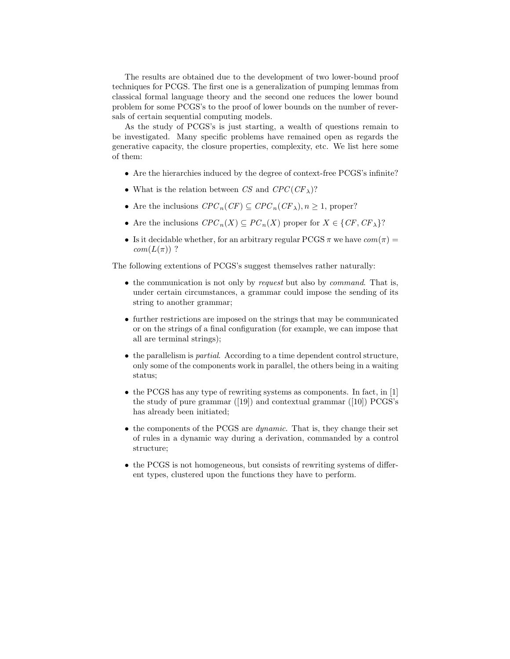The results are obtained due to the development of two lower-bound proof techniques for PCGS. The first one is a generalization of pumping lemmas from classical formal language theory and the second one reduces the lower bound problem for some PCGS's to the proof of lower bounds on the number of reversals of certain sequential computing models.

As the study of PCGS's is just starting, a wealth of questions remain to be investigated. Many specific problems have remained open as regards the generative capacity, the closure properties, complexity, etc. We list here some of them:

- Are the hierarchies induced by the degree of context-free PCGS's infinite?
- What is the relation between CS and  $CPC(CF_{\lambda})$ ?
- Are the inclusions  $CPC_n(CF) \subseteq CPC_n(CF_\lambda), n \geq 1$ , proper?
- Are the inclusions  $CPC_n(X) \subseteq PC_n(X)$  proper for  $X \in \{CF, CF_{\lambda}\}$ ?
- Is it decidable whether, for an arbitrary regular PCGS  $\pi$  we have  $com(\pi)$  =  $com(L(\pi))$  ?

The following extentions of PCGS's suggest themselves rather naturally:

- the communication is not only by *request* but also by *command*. That is, under certain circumstances, a grammar could impose the sending of its string to another grammar;
- further restrictions are imposed on the strings that may be communicated or on the strings of a final configuration (for example, we can impose that all are terminal strings);
- the parallelism is partial. According to a time dependent control structure, only some of the components work in parallel, the others being in a waiting status;
- the PCGS has any type of rewriting systems as components. In fact, in [1] the study of pure grammar  $([19])$  and contextual grammar  $([10])$  PCGS's has already been initiated;
- the components of the PCGS are dynamic. That is, they change their set of rules in a dynamic way during a derivation, commanded by a control structure;
- the PCGS is not homogeneous, but consists of rewriting systems of different types, clustered upon the functions they have to perform.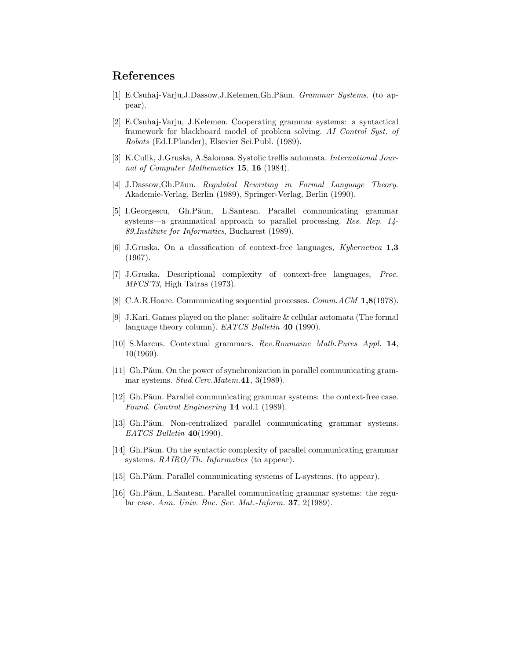## References

- [1] E.Csuhaj-Varju,J.Dassow,J.Kelemen,Gh.Păun. Grammar Systems. (to appear).
- [2] E.Csuhaj-Varju, J.Kelemen. Cooperating grammar systems: a syntactical framework for blackboard model of problem solving. AI Control Syst. of Robots (Ed.I.Plander), Elsevier Sci.Publ. (1989).
- [3] K.Culik, J.Gruska, A.Salomaa. Systolic trellis automata. International Journal of Computer Mathematics 15, 16 (1984).
- [4] J.Dassow,Gh.Păun. Regulated Rewriting in Formal Language Theory. Akademie-Verlag, Berlin (1989), Springer-Verlag, Berlin (1990).
- [5] I.Georgescu, Gh.Păun, L.Santean. Parallel communicating grammar systems—a grammatical approach to parallel processing. Res. Rep. 14- 89,Institute for Informatics, Bucharest (1989).
- [6] J.Gruska. On a classification of context-free languages, Kybernetica 1,3 (1967).
- [7] J.Gruska. Descriptional complexity of context-free languages, Proc. MFCS'73, High Tatras (1973).
- [8] C.A.R.Hoare. Communicating sequential processes. Comm.ACM 1,8(1978).
- [9] J.Kari. Games played on the plane: solitaire & cellular automata (The formal language theory column). *EATCS Bulletin* **40** (1990).
- [10] S.Marcus. Contextual grammars. Rev.Roumaine Math.Pures Appl. 14, 10(1969).
- [11] Gh.Păun. On the power of synchronization in parallel communicating grammar systems. Stud.Cerc.Matem.41, 3(1989).
- [12] Gh.Păun. Parallel communicating grammar systems: the context-free case. Found. Control Engineering 14 vol.1 (1989).
- [13] Gh.Păun. Non-centralized parallel communicating grammar systems. EATCS Bulletin 40(1990).
- [14] Gh.Păun. On the syntactic complexity of parallel communicating grammar systems. RAIRO/Th. Informatics (to appear).
- [15] Gh.Păun. Parallel communicating systems of L-systems. (to appear).
- [16] Gh.Păun, L.Santean. Parallel communicating grammar systems: the regular case. Ann. Univ. Buc. Ser. Mat.-Inform. 37, 2(1989).